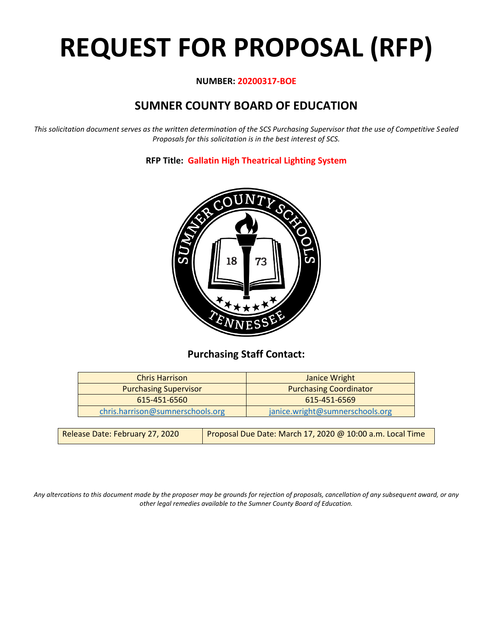# **REQUEST FOR PROPOSAL (RFP)**

# **NUMBER: 20200317-BOE**

# **SUMNER COUNTY BOARD OF EDUCATION**

*This solicitation document serves as the written determination of the SCS Purchasing Supervisor that the use of Competitive Sealed Proposals for this solicitation is in the best interest of SCS.*

# **RFP Title: Gallatin High Theatrical Lighting System**



# **Purchasing Staff Contact:**

| <b>Chris Harrison</b>            | Janice Wright                   |
|----------------------------------|---------------------------------|
| <b>Purchasing Supervisor</b>     | <b>Purchasing Coordinator</b>   |
| 615-451-6560                     | 615-451-6569                    |
| chris.harrison@sumnerschools.org | janice.wright@sumnerschools.org |

| Proposal Due Date: March 17, 2020 @ 10:00 a.m. Local Time<br>Release Date: February 27, 2020 |
|----------------------------------------------------------------------------------------------|
|----------------------------------------------------------------------------------------------|

*Any altercations to this document made by the proposer may be grounds for rejection of proposals, cancellation of any subsequent award, or any other legal remedies available to the Sumner County Board of Education.*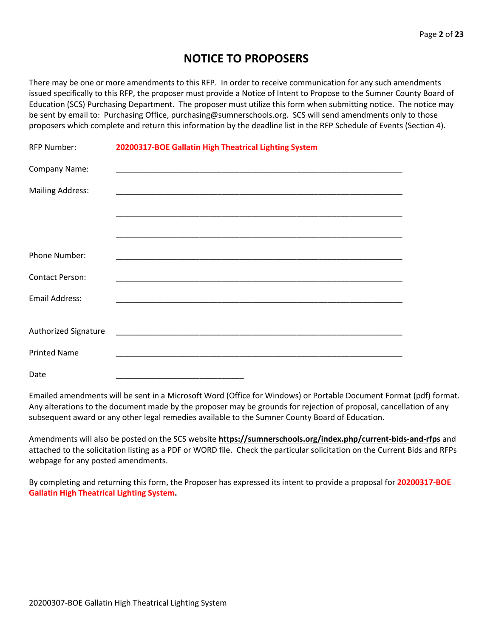# **NOTICE TO PROPOSERS**

There may be one or more amendments to this RFP. In order to receive communication for any such amendments issued specifically to this RFP, the proposer must provide a Notice of Intent to Propose to the Sumner County Board of Education (SCS) Purchasing Department. The proposer must utilize this form when submitting notice. The notice may be sent by email to: Purchasing Office, purchasing@sumnerschools.org. SCS will send amendments only to those proposers which complete and return this information by the deadline list in the RFP Schedule of Events (Section 4).

| <b>RFP Number:</b>      | 20200317-BOE Gallatin High Theatrical Lighting System |
|-------------------------|-------------------------------------------------------|
| Company Name:           |                                                       |
| <b>Mailing Address:</b> |                                                       |
|                         |                                                       |
|                         |                                                       |
| Phone Number:           |                                                       |
| <b>Contact Person:</b>  |                                                       |
| <b>Email Address:</b>   |                                                       |
|                         |                                                       |
| Authorized Signature    |                                                       |
| <b>Printed Name</b>     |                                                       |
| Date                    |                                                       |

Emailed amendments will be sent in a Microsoft Word (Office for Windows) or Portable Document Format (pdf) format. Any alterations to the document made by the proposer may be grounds for rejection of proposal, cancellation of any subsequent award or any other legal remedies available to the Sumner County Board of Education.

Amendments will also be posted on the SCS website **https://sumnerschools.org/index.php/current-bids-and-rfps** and attached to the solicitation listing as a PDF or WORD file. Check the particular solicitation on the Current Bids and RFPs webpage for any posted amendments.

By completing and returning this form, the Proposer has expressed its intent to provide a proposal for **20200317-BOE Gallatin High Theatrical Lighting System.**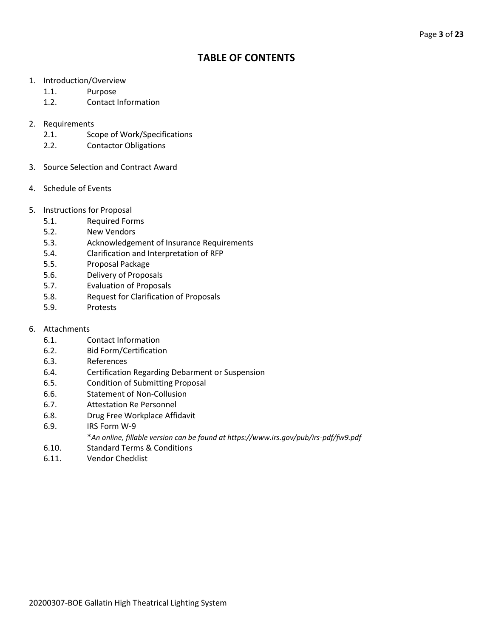# **TABLE OF CONTENTS**

- 1. Introduction/Overview
	- 1.1. Purpose
	- 1.2. Contact Information
- 2. Requirements
	- 2.1. Scope of Work/Specifications
	- 2.2. Contactor Obligations
- 3. Source Selection and Contract Award
- 4. Schedule of Events
- 5. Instructions for Proposal
	- 5.1. Required Forms
	- 5.2. New Vendors
	- 5.3. Acknowledgement of Insurance Requirements
	- 5.4. Clarification and Interpretation of RFP
	- 5.5. Proposal Package
	- 5.6. Delivery of Proposals
	- 5.7. Evaluation of Proposals
	- 5.8. Request for Clarification of Proposals
	- 5.9. Protests
- 6. Attachments
	- 6.1. Contact Information
	- 6.2. Bid Form/Certification
	- 6.3. References
	- 6.4. Certification Regarding Debarment or Suspension
	- 6.5. Condition of Submitting Proposal
	- 6.6. Statement of Non-Collusion
	- 6.7. Attestation Re Personnel
	- 6.8. Drug Free Workplace Affidavit
	- 6.9. IRS Form W-9
		- \**An online, fillable version can be found at https://www.irs.gov/pub/irs-pdf/fw9.pdf*
	- 6.10. Standard Terms & Conditions
	- 6.11. Vendor Checklist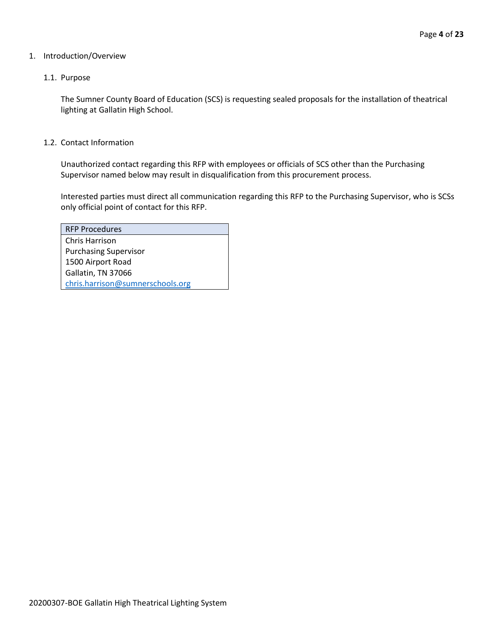#### 1. Introduction/Overview

#### 1.1. Purpose

The Sumner County Board of Education (SCS) is requesting sealed proposals for the installation of theatrical lighting at Gallatin High School.

#### 1.2. Contact Information

Unauthorized contact regarding this RFP with employees or officials of SCS other than the Purchasing Supervisor named below may result in disqualification from this procurement process.

Interested parties must direct all communication regarding this RFP to the Purchasing Supervisor, who is SCSs only official point of contact for this RFP.

| <b>RFP Procedures</b>            |
|----------------------------------|
| Chris Harrison                   |
| <b>Purchasing Supervisor</b>     |
| 1500 Airport Road                |
| Gallatin, TN 37066               |
| chris.harrison@sumnerschools.org |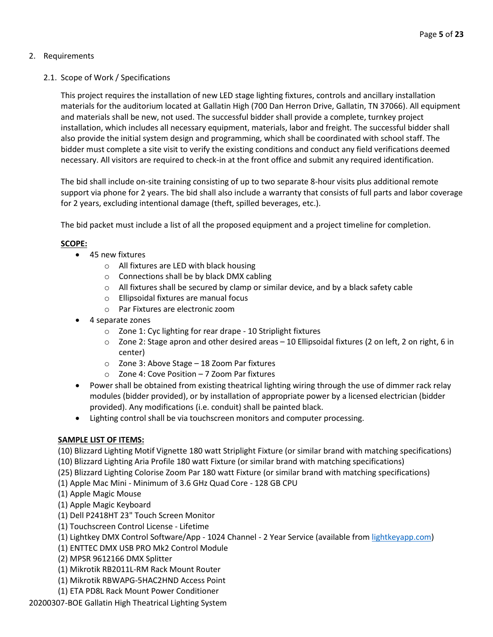# 2. Requirements

# 2.1. Scope of Work / Specifications

This project requires the installation of new LED stage lighting fixtures, controls and ancillary installation materials for the auditorium located at Gallatin High (700 Dan Herron Drive, Gallatin, TN 37066). All equipment and materials shall be new, not used. The successful bidder shall provide a complete, turnkey project installation, which includes all necessary equipment, materials, labor and freight. The successful bidder shall also provide the initial system design and programming, which shall be coordinated with school staff. The bidder must complete a site visit to verify the existing conditions and conduct any field verifications deemed necessary. All visitors are required to check-in at the front office and submit any required identification.

The bid shall include on-site training consisting of up to two separate 8-hour visits plus additional remote support via phone for 2 years. The bid shall also include a warranty that consists of full parts and labor coverage for 2 years, excluding intentional damage (theft, spilled beverages, etc.).

The bid packet must include a list of all the proposed equipment and a project timeline for completion.

# **SCOPE:**

- 45 new fixtures
	- o All fixtures are LED with black housing
	- o Connections shall be by black DMX cabling
	- o All fixtures shall be secured by clamp or similar device, and by a black safety cable
	- o Ellipsoidal fixtures are manual focus
	- o Par Fixtures are electronic zoom
- 4 separate zones
	- o Zone 1: Cyc lighting for rear drape 10 Striplight fixtures
	- $\circ$  Zone 2: Stage apron and other desired areas 10 Ellipsoidal fixtures (2 on left, 2 on right, 6 in center)
	- o Zone 3: Above Stage 18 Zoom Par fixtures
	- o Zone 4: Cove Position 7 Zoom Par fixtures
- Power shall be obtained from existing theatrical lighting wiring through the use of dimmer rack relay modules (bidder provided), or by installation of appropriate power by a licensed electrician (bidder provided). Any modifications (i.e. conduit) shall be painted black.
- Lighting control shall be via touchscreen monitors and computer processing.

## **SAMPLE LIST OF ITEMS:**

(10) Blizzard Lighting Motif Vignette 180 watt Striplight Fixture (or similar brand with matching specifications)

- (10) Blizzard Lighting Aria Profile 180 watt Fixture (or similar brand with matching specifications)
- (25) Blizzard Lighting Colorise Zoom Par 180 watt Fixture (or similar brand with matching specifications)
- (1) Apple Mac Mini Minimum of 3.6 GHz Quad Core 128 GB CPU
- (1) Apple Magic Mouse
- (1) Apple Magic Keyboard
- (1) Dell P2418HT 23" Touch Screen Monitor
- (1) Touchscreen Control License Lifetime
- (1) Lightkey DMX Control Software/App 1024 Channel 2 Year Service (available fro[m lightkeyapp.com\)](http://lightkeyapp.com/)
- (1) ENTTEC DMX USB PRO Mk2 Control Module
- (2) MPSR 9612166 DMX Splitter
- (1) Mikrotik RB2011L-RM Rack Mount Router
- (1) Mikrotik RBWAPG-5HAC2HND Access Point
- (1) ETA PD8L Rack Mount Power Conditioner

20200307-BOE Gallatin High Theatrical Lighting System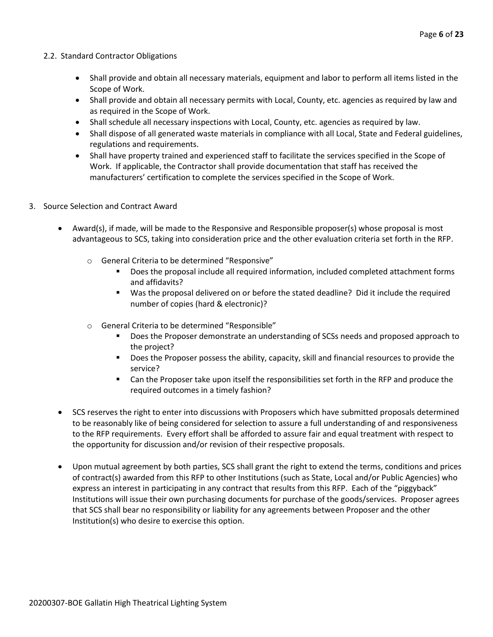#### 2.2. Standard Contractor Obligations

- Shall provide and obtain all necessary materials, equipment and labor to perform all items listed in the Scope of Work.
- Shall provide and obtain all necessary permits with Local, County, etc. agencies as required by law and as required in the Scope of Work.
- Shall schedule all necessary inspections with Local, County, etc. agencies as required by law.
- Shall dispose of all generated waste materials in compliance with all Local, State and Federal guidelines, regulations and requirements.
- Shall have property trained and experienced staff to facilitate the services specified in the Scope of Work. If applicable, the Contractor shall provide documentation that staff has received the manufacturers' certification to complete the services specified in the Scope of Work.
- 3. Source Selection and Contract Award
	- Award(s), if made, will be made to the Responsive and Responsible proposer(s) whose proposal is most advantageous to SCS, taking into consideration price and the other evaluation criteria set forth in the RFP.
		- o General Criteria to be determined "Responsive"
			- Does the proposal include all required information, included completed attachment forms and affidavits?
			- Was the proposal delivered on or before the stated deadline? Did it include the required number of copies (hard & electronic)?
		- o General Criteria to be determined "Responsible"
			- **•** Does the Proposer demonstrate an understanding of SCSs needs and proposed approach to the project?
			- Does the Proposer possess the ability, capacity, skill and financial resources to provide the service?
			- Can the Proposer take upon itself the responsibilities set forth in the RFP and produce the required outcomes in a timely fashion?
	- SCS reserves the right to enter into discussions with Proposers which have submitted proposals determined to be reasonably like of being considered for selection to assure a full understanding of and responsiveness to the RFP requirements. Every effort shall be afforded to assure fair and equal treatment with respect to the opportunity for discussion and/or revision of their respective proposals.
	- Upon mutual agreement by both parties, SCS shall grant the right to extend the terms, conditions and prices of contract(s) awarded from this RFP to other Institutions (such as State, Local and/or Public Agencies) who express an interest in participating in any contract that results from this RFP. Each of the "piggyback" Institutions will issue their own purchasing documents for purchase of the goods/services. Proposer agrees that SCS shall bear no responsibility or liability for any agreements between Proposer and the other Institution(s) who desire to exercise this option.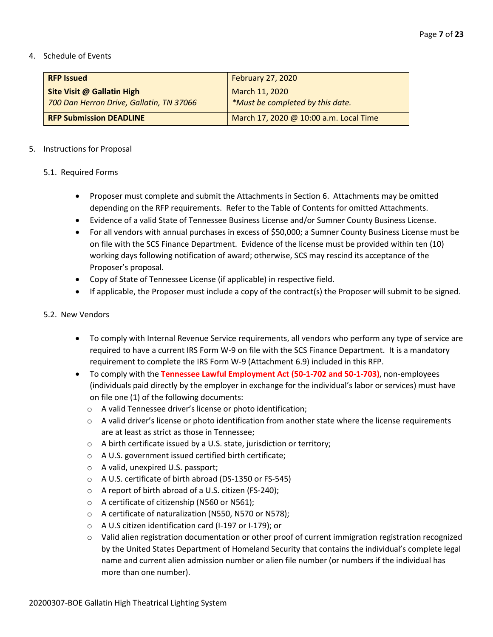#### 4. Schedule of Events

| <b>RFP Issued</b>                                                      | <b>February 27, 2020</b>                           |
|------------------------------------------------------------------------|----------------------------------------------------|
| Site Visit @ Gallatin High<br>700 Dan Herron Drive, Gallatin, TN 37066 | March 11, 2020<br>*Must be completed by this date. |
| <b>RFP Submission DEADLINE</b>                                         | March 17, 2020 @ 10:00 a.m. Local Time             |

#### 5. Instructions for Proposal

#### 5.1. Required Forms

- Proposer must complete and submit the Attachments in Section 6. Attachments may be omitted depending on the RFP requirements. Refer to the Table of Contents for omitted Attachments.
- Evidence of a valid State of Tennessee Business License and/or Sumner County Business License.
- For all vendors with annual purchases in excess of \$50,000; a Sumner County Business License must be on file with the SCS Finance Department. Evidence of the license must be provided within ten (10) working days following notification of award; otherwise, SCS may rescind its acceptance of the Proposer's proposal.
- Copy of State of Tennessee License (if applicable) in respective field.
- If applicable, the Proposer must include a copy of the contract(s) the Proposer will submit to be signed.

#### 5.2. New Vendors

- To comply with Internal Revenue Service requirements, all vendors who perform any type of service are required to have a current IRS Form W-9 on file with the SCS Finance Department. It is a mandatory requirement to complete the IRS Form W-9 (Attachment 6.9) included in this RFP.
- To comply with the **Tennessee Lawful Employment Act (50-1-702 and 50-1-703)**, non-employees (individuals paid directly by the employer in exchange for the individual's labor or services) must have on file one (1) of the following documents:
	- o A valid Tennessee driver's license or photo identification;
	- $\circ$  A valid driver's license or photo identification from another state where the license requirements are at least as strict as those in Tennessee;
	- o A birth certificate issued by a U.S. state, jurisdiction or territory;
	- o A U.S. government issued certified birth certificate;
	- o A valid, unexpired U.S. passport;
	- o A U.S. certificate of birth abroad (DS-1350 or FS-545)
	- o A report of birth abroad of a U.S. citizen (FS-240);
	- o A certificate of citizenship (N560 or N561);
	- o A certificate of naturalization (N550, N570 or N578);
	- o A U.S citizen identification card (I-197 or I-179); or
	- o Valid alien registration documentation or other proof of current immigration registration recognized by the United States Department of Homeland Security that contains the individual's complete legal name and current alien admission number or alien file number (or numbers if the individual has more than one number).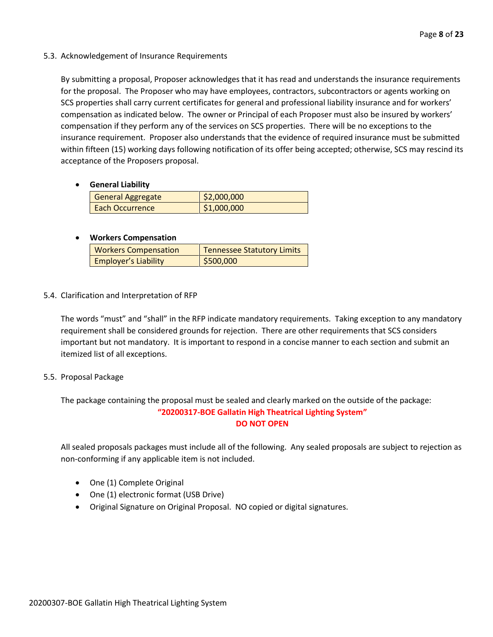#### 5.3. Acknowledgement of Insurance Requirements

By submitting a proposal, Proposer acknowledges that it has read and understands the insurance requirements for the proposal. The Proposer who may have employees, contractors, subcontractors or agents working on SCS properties shall carry current certificates for general and professional liability insurance and for workers' compensation as indicated below. The owner or Principal of each Proposer must also be insured by workers' compensation if they perform any of the services on SCS properties. There will be no exceptions to the insurance requirement. Proposer also understands that the evidence of required insurance must be submitted within fifteen (15) working days following notification of its offer being accepted; otherwise, SCS may rescind its acceptance of the Proposers proposal.

#### • **General Liability**

| <b>General Aggregate</b> | \$2,000,000 |
|--------------------------|-------------|
| Each Occurrence          | \$1,000,000 |

#### • **Workers Compensation**

| <b>Workers Compensation</b> | <b>Tennessee Statutory Limits</b> |
|-----------------------------|-----------------------------------|
| <b>Employer's Liability</b> | \$500,000                         |

#### 5.4. Clarification and Interpretation of RFP

The words "must" and "shall" in the RFP indicate mandatory requirements. Taking exception to any mandatory requirement shall be considered grounds for rejection. There are other requirements that SCS considers important but not mandatory. It is important to respond in a concise manner to each section and submit an itemized list of all exceptions.

#### 5.5. Proposal Package

The package containing the proposal must be sealed and clearly marked on the outside of the package: **"20200317-BOE Gallatin High Theatrical Lighting System" DO NOT OPEN**

All sealed proposals packages must include all of the following. Any sealed proposals are subject to rejection as non-conforming if any applicable item is not included.

- One (1) Complete Original
- One (1) electronic format (USB Drive)
- Original Signature on Original Proposal. NO copied or digital signatures.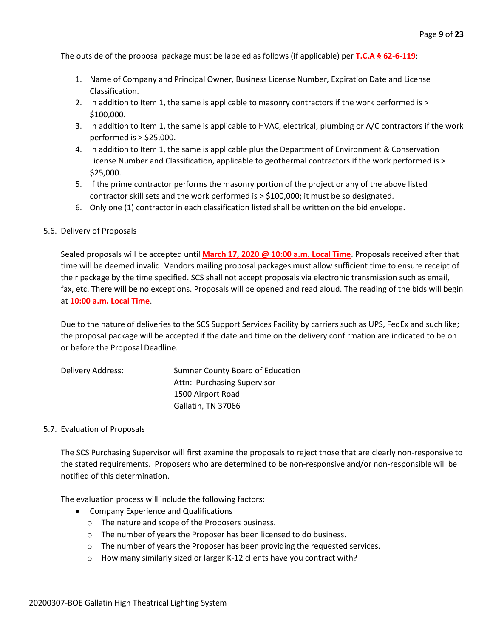The outside of the proposal package must be labeled as follows (if applicable) per **T.C.A § 62-6-119**:

- 1. Name of Company and Principal Owner, Business License Number, Expiration Date and License Classification.
- 2. In addition to Item 1, the same is applicable to masonry contractors if the work performed is > \$100,000.
- 3. In addition to Item 1, the same is applicable to HVAC, electrical, plumbing or A/C contractors if the work performed is > \$25,000.
- 4. In addition to Item 1, the same is applicable plus the Department of Environment & Conservation License Number and Classification, applicable to geothermal contractors if the work performed is > \$25,000.
- 5. If the prime contractor performs the masonry portion of the project or any of the above listed contractor skill sets and the work performed is > \$100,000; it must be so designated.
- 6. Only one (1) contractor in each classification listed shall be written on the bid envelope.

#### 5.6. Delivery of Proposals

Sealed proposals will be accepted until **March 17, 2020 @ 10:00 a.m. Local Time**. Proposals received after that time will be deemed invalid. Vendors mailing proposal packages must allow sufficient time to ensure receipt of their package by the time specified. SCS shall not accept proposals via electronic transmission such as email, fax, etc. There will be no exceptions. Proposals will be opened and read aloud. The reading of the bids will begin at **10:00 a.m. Local Time**.

Due to the nature of deliveries to the SCS Support Services Facility by carriers such as UPS, FedEx and such like; the proposal package will be accepted if the date and time on the delivery confirmation are indicated to be on or before the Proposal Deadline.

| Delivery Address: | Sumner County Board of Education |
|-------------------|----------------------------------|
|                   | Attn: Purchasing Supervisor      |
|                   | 1500 Airport Road                |
|                   | Gallatin, TN 37066               |

#### 5.7. Evaluation of Proposals

The SCS Purchasing Supervisor will first examine the proposals to reject those that are clearly non-responsive to the stated requirements. Proposers who are determined to be non-responsive and/or non-responsible will be notified of this determination.

The evaluation process will include the following factors:

- Company Experience and Qualifications
	- o The nature and scope of the Proposers business.
	- o The number of years the Proposer has been licensed to do business.
	- o The number of years the Proposer has been providing the requested services.
	- o How many similarly sized or larger K-12 clients have you contract with?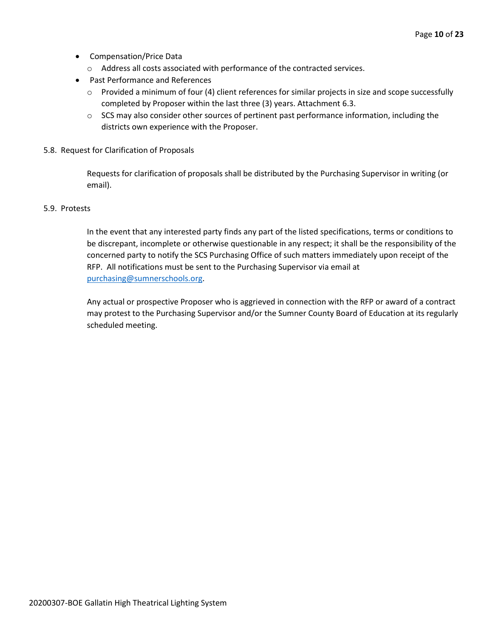- Compensation/Price Data
	- o Address all costs associated with performance of the contracted services.
- Past Performance and References
	- $\circ$  Provided a minimum of four (4) client references for similar projects in size and scope successfully completed by Proposer within the last three (3) years. Attachment 6.3.
	- $\circ$  SCS may also consider other sources of pertinent past performance information, including the districts own experience with the Proposer.
- 5.8. Request for Clarification of Proposals

Requests for clarification of proposals shall be distributed by the Purchasing Supervisor in writing (or email).

#### 5.9. Protests

In the event that any interested party finds any part of the listed specifications, terms or conditions to be discrepant, incomplete or otherwise questionable in any respect; it shall be the responsibility of the concerned party to notify the SCS Purchasing Office of such matters immediately upon receipt of the RFP. All notifications must be sent to the Purchasing Supervisor via email at [purchasing@sumnerschools.org.](mailto:purchasing@sumnerschools.org)

Any actual or prospective Proposer who is aggrieved in connection with the RFP or award of a contract may protest to the Purchasing Supervisor and/or the Sumner County Board of Education at its regularly scheduled meeting.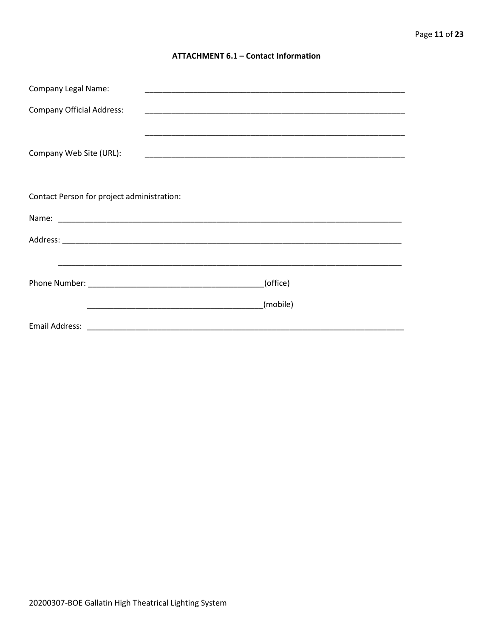#### **ATTACHMENT 6.1 - Contact Information**

| <b>Company Legal Name:</b>                 |          |
|--------------------------------------------|----------|
| <b>Company Official Address:</b>           |          |
|                                            |          |
| Company Web Site (URL):                    |          |
|                                            |          |
|                                            |          |
| Contact Person for project administration: |          |
|                                            |          |
|                                            |          |
|                                            |          |
|                                            | (office) |
|                                            |          |
|                                            | (mobile) |
|                                            |          |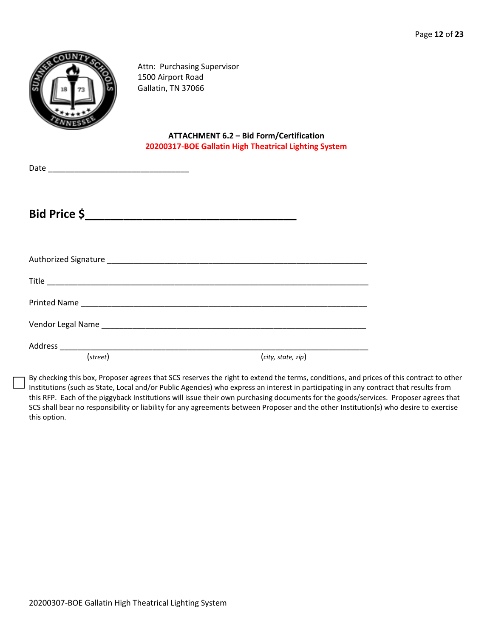

Attn: Purchasing Supervisor 1500 Airport Road Gallatin, TN 37066

**ATTACHMENT 6.2 – Bid Form/Certification 20200317-BOE Gallatin High Theatrical Lighting System**

Date \_\_\_\_\_\_\_\_\_\_\_\_\_\_\_\_\_\_\_\_\_\_\_\_\_\_\_\_\_\_\_\_

**Bid Price \$\_\_\_\_\_\_\_\_\_\_\_\_\_\_\_\_\_\_\_\_\_\_\_\_\_\_\_\_\_\_\_\_\_**

| (street) | (city, state, zip) |
|----------|--------------------|

By checking this box, Proposer agrees that SCS reserves the right to extend the terms, conditions, and prices of this contract to other Institutions (such as State, Local and/or Public Agencies) who express an interest in participating in any contract that results from this RFP. Each of the piggyback Institutions will issue their own purchasing documents for the goods/services. Proposer agrees that SCS shall bear no responsibility or liability for any agreements between Proposer and the other Institution(s) who desire to exercise this option.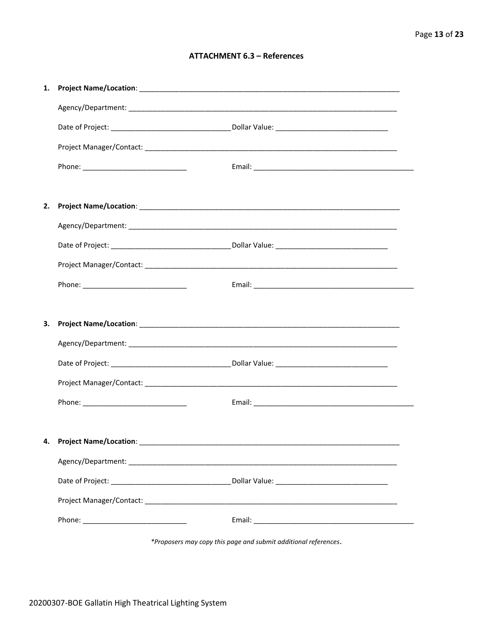#### **ATTACHMENT 6.3 - References**

| 1. |                                    |  |
|----|------------------------------------|--|
|    |                                    |  |
|    |                                    |  |
|    |                                    |  |
|    |                                    |  |
|    |                                    |  |
| 2. |                                    |  |
|    |                                    |  |
|    |                                    |  |
|    |                                    |  |
|    |                                    |  |
|    |                                    |  |
| З. |                                    |  |
|    |                                    |  |
|    |                                    |  |
|    |                                    |  |
|    |                                    |  |
|    |                                    |  |
|    | 4. Project Name/Location: ________ |  |
|    |                                    |  |
|    |                                    |  |
|    |                                    |  |
|    |                                    |  |
|    |                                    |  |

\*Proposers may copy this page and submit additional references.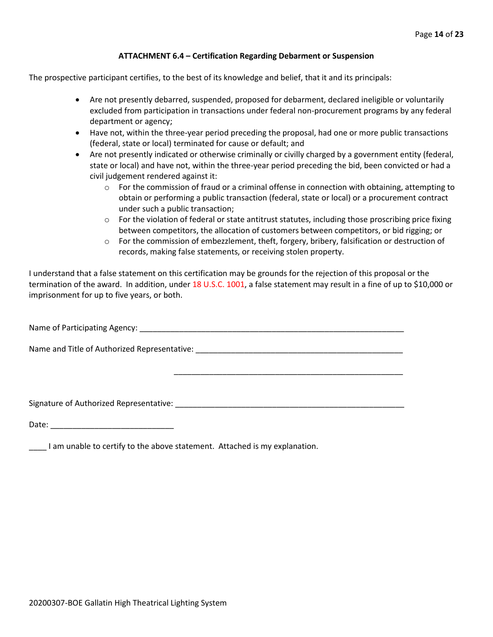#### **ATTACHMENT 6.4 – Certification Regarding Debarment or Suspension**

The prospective participant certifies, to the best of its knowledge and belief, that it and its principals:

- Are not presently debarred, suspended, proposed for debarment, declared ineligible or voluntarily excluded from participation in transactions under federal non-procurement programs by any federal department or agency;
- Have not, within the three-year period preceding the proposal, had one or more public transactions (federal, state or local) terminated for cause or default; and
- Are not presently indicated or otherwise criminally or civilly charged by a government entity (federal, state or local) and have not, within the three-year period preceding the bid, been convicted or had a civil judgement rendered against it:
	- $\circ$  For the commission of fraud or a criminal offense in connection with obtaining, attempting to obtain or performing a public transaction (federal, state or local) or a procurement contract under such a public transaction;
	- $\circ$  For the violation of federal or state antitrust statutes, including those proscribing price fixing between competitors, the allocation of customers between competitors, or bid rigging; or
	- $\circ$  For the commission of embezzlement, theft, forgery, bribery, falsification or destruction of records, making false statements, or receiving stolen property.

\_\_\_\_\_\_\_\_\_\_\_\_\_\_\_\_\_\_\_\_\_\_\_\_\_\_\_\_\_\_\_\_\_\_\_\_\_\_\_\_\_\_\_\_\_\_\_\_\_\_\_\_

I understand that a false statement on this certification may be grounds for the rejection of this proposal or the termination of the award. In addition, under 18 U.S.C. 1001, a false statement may result in a fine of up to \$10,000 or imprisonment for up to five years, or both.

Name of Participating Agency: \_\_\_\_\_\_\_\_\_\_\_\_\_\_\_\_\_\_\_\_\_\_\_\_\_\_\_\_\_\_\_\_\_\_\_\_\_\_\_\_\_\_\_\_\_\_\_\_\_\_\_\_\_\_\_\_\_\_\_\_

Name and Title of Authorized Representative: \_\_\_\_\_\_\_\_\_\_\_\_\_\_\_\_\_\_\_\_\_\_\_\_\_\_\_\_\_\_\_\_\_\_\_

Signature of Authorized Representative: \_\_\_\_\_\_\_\_\_\_\_\_\_\_\_\_\_\_\_\_\_\_\_\_\_\_\_\_\_\_\_\_\_\_\_\_\_\_\_\_\_\_\_\_\_\_\_\_\_\_\_\_

Date: \_\_\_\_\_\_\_\_\_\_\_\_\_\_\_\_\_\_\_\_\_\_\_\_\_\_\_\_

\_\_\_\_ I am unable to certify to the above statement. Attached is my explanation.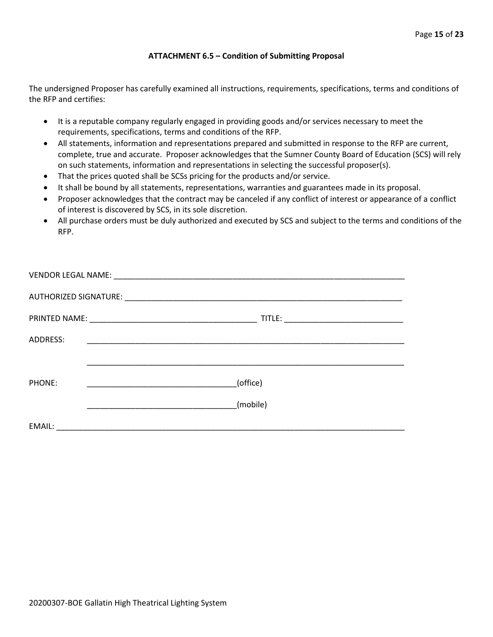#### **ATTACHMENT 6.5 – Condition of Submitting Proposal**

The undersigned Proposer has carefully examined all instructions, requirements, specifications, terms and conditions of the RFP and certifies:

- It is a reputable company regularly engaged in providing goods and/or services necessary to meet the requirements, specifications, terms and conditions of the RFP.
- All statements, information and representations prepared and submitted in response to the RFP are current, complete, true and accurate. Proposer acknowledges that the Sumner County Board of Education (SCS) will rely on such statements, information and representations in selecting the successful proposer(s).
- That the prices quoted shall be SCSs pricing for the products and/or service.
- It shall be bound by all statements, representations, warranties and guarantees made in its proposal.
- Proposer acknowledges that the contract may be canceled if any conflict of interest or appearance of a conflict of interest is discovered by SCS, in its sole discretion.
- All purchase orders must be duly authorized and executed by SCS and subject to the terms and conditions of the RFP.

| ADDRESS: |          |
|----------|----------|
|          |          |
| PHONE:   | (office) |
|          | (mobile) |
| EMAIL:   |          |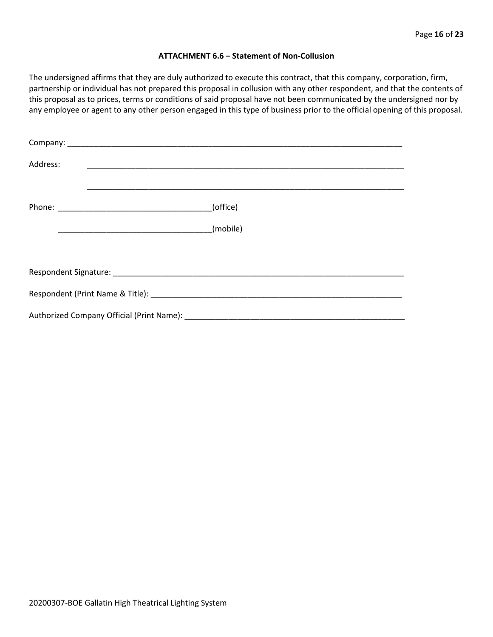#### **ATTACHMENT 6.6 – Statement of Non-Collusion**

The undersigned affirms that they are duly authorized to execute this contract, that this company, corporation, firm, partnership or individual has not prepared this proposal in collusion with any other respondent, and that the contents of this proposal as to prices, terms or conditions of said proposal have not been communicated by the undersigned nor by any employee or agent to any other person engaged in this type of business prior to the official opening of this proposal.

| Address: |          |
|----------|----------|
|          | (office) |
|          | (mobile) |
|          |          |
|          |          |
|          |          |
|          |          |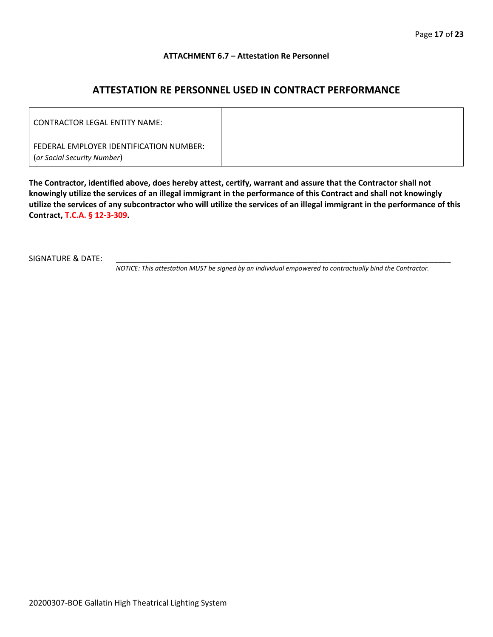#### **ATTACHMENT 6.7 – Attestation Re Personnel**

# **ATTESTATION RE PERSONNEL USED IN CONTRACT PERFORMANCE**

| CONTRACTOR LEGAL ENTITY NAME:                                          |  |
|------------------------------------------------------------------------|--|
| FEDERAL EMPLOYER IDENTIFICATION NUMBER:<br>(or Social Security Number) |  |

**The Contractor, identified above, does hereby attest, certify, warrant and assure that the Contractor shall not knowingly utilize the services of an illegal immigrant in the performance of this Contract and shall not knowingly utilize the services of any subcontractor who will utilize the services of an illegal immigrant in the performance of this Contract, T.C.A. § 12-3-309.**

SIGNATURE & DATE:

*NOTICE: This attestation MUST be signed by an individual empowered to contractually bind the Contractor.*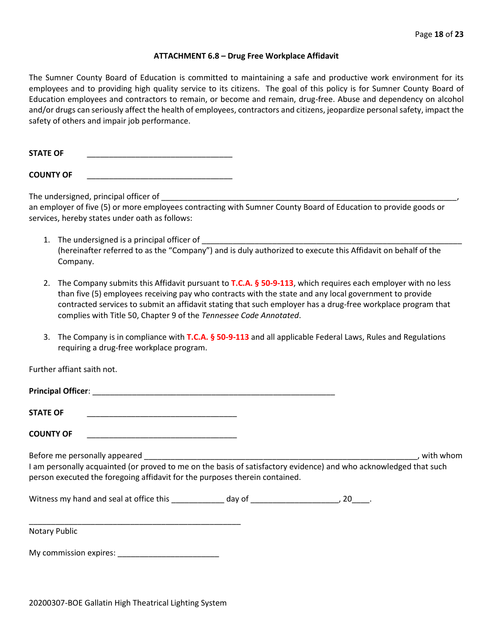#### **ATTACHMENT 6.8 – Drug Free Workplace Affidavit**

The Sumner County Board of Education is committed to maintaining a safe and productive work environment for its employees and to providing high quality service to its citizens. The goal of this policy is for Sumner County Board of Education employees and contractors to remain, or become and remain, drug-free. Abuse and dependency on alcohol and/or drugs can seriously affect the health of employees, contractors and citizens, jeopardize personal safety, impact the safety of others and impair job performance.

STATE OF

**COUNTY OF** \_\_\_\_\_\_\_\_\_\_\_\_\_\_\_\_\_\_\_\_\_\_\_\_\_\_\_\_\_\_\_\_\_

The undersigned, principal officer of

an employer of five (5) or more employees contracting with Sumner County Board of Education to provide goods or services, hereby states under oath as follows:

- 1. The undersigned is a principal officer of (hereinafter referred to as the "Company") and is duly authorized to execute this Affidavit on behalf of the Company.
- 2. The Company submits this Affidavit pursuant to **T.C.A. § 50-9-113**, which requires each employer with no less than five (5) employees receiving pay who contracts with the state and any local government to provide contracted services to submit an affidavit stating that such employer has a drug-free workplace program that complies with Title 50, Chapter 9 of the *Tennessee Code Annotated*.
- 3. The Company is in compliance with **T.C.A. § 50-9-113** and all applicable Federal Laws, Rules and Regulations requiring a drug-free workplace program.

Further affiant saith not.

| <b>Principal Officer:</b> |  |
|---------------------------|--|
|                           |  |
| <b>STATE OF</b>           |  |

**COUNTY OF** \_\_\_\_\_\_\_\_\_\_\_\_\_\_\_\_\_\_\_\_\_\_\_\_\_\_\_\_\_\_\_\_\_\_

Before me personally appeared \_\_\_\_\_\_\_\_\_\_\_\_\_\_\_\_\_\_\_\_\_\_\_\_\_\_\_\_\_\_\_\_\_\_\_\_\_\_\_\_\_\_\_\_\_\_\_\_\_\_\_\_\_\_\_\_\_\_\_\_\_\_, with whom I am personally acquainted (or proved to me on the basis of satisfactory evidence) and who acknowledged that such person executed the foregoing affidavit for the purposes therein contained.

Witness my hand and seal at office this \_\_\_\_\_\_\_\_\_\_\_\_\_ day of \_\_\_\_\_\_\_\_\_\_\_\_\_\_\_\_\_\_\_\_\_, 20\_\_\_\_.

\_\_\_\_\_\_\_\_\_\_\_\_\_\_\_\_\_\_\_\_\_\_\_\_\_\_\_\_\_\_\_\_\_\_\_\_\_\_\_\_\_\_\_\_\_\_\_\_ Notary Public

My commission expires: \_\_\_\_\_\_\_\_\_\_\_\_\_\_\_\_\_\_\_\_\_\_\_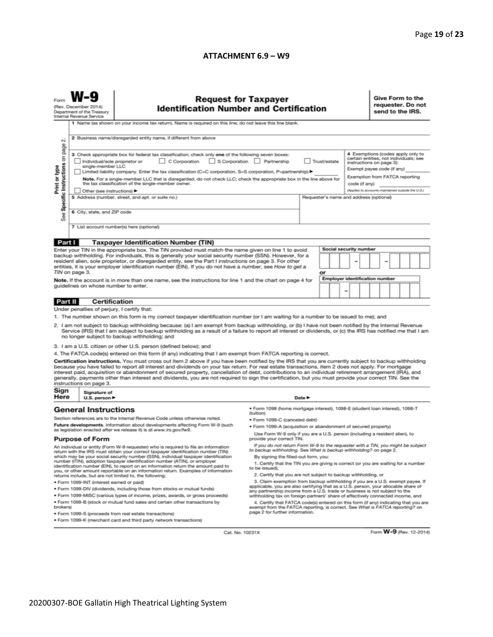#### **ATTACHMENT 6.9 – W9**

| <b>Request for Taxpayer</b><br><b>Identification Number and Certification</b><br>(Rev. December 2014)<br>Department of the Treasury<br>Internal Revenue Service<br>1 Name (as shown on your income tax return). Name is required on this line; do not leave this line blank.                                                                                                                                                                                                                                                                                                                                                                                                                                                                                                                                                                                                                                                                                                                                                                                                                                                                                                                                                                                                                                                                                                                                  |                                                                                                                                                                                                                                                                                                                                                                                                                                                                                                                                                                                                                                                                                                                                                                                                                                                                                                                                                                                                                                                                                                                                                                                                                                     |                                                                                                                                                                                                                                                                                                                                                                                                                                                                                                                                                                                                                                                                                                                                                                                                                                                                                                                                                                                                                                                                                                                                                                                                                                                                                                                                                                                             |                                                                                                          |                                                                                                                                                                                                                                                                                                                                                                                                                                                      |  |  |   | Give Form to the<br>requester. Do not<br>send to the IRS. |                                                |                                                                                  |                                                                                                                                                                                                                              |  |
|---------------------------------------------------------------------------------------------------------------------------------------------------------------------------------------------------------------------------------------------------------------------------------------------------------------------------------------------------------------------------------------------------------------------------------------------------------------------------------------------------------------------------------------------------------------------------------------------------------------------------------------------------------------------------------------------------------------------------------------------------------------------------------------------------------------------------------------------------------------------------------------------------------------------------------------------------------------------------------------------------------------------------------------------------------------------------------------------------------------------------------------------------------------------------------------------------------------------------------------------------------------------------------------------------------------------------------------------------------------------------------------------------------------|-------------------------------------------------------------------------------------------------------------------------------------------------------------------------------------------------------------------------------------------------------------------------------------------------------------------------------------------------------------------------------------------------------------------------------------------------------------------------------------------------------------------------------------------------------------------------------------------------------------------------------------------------------------------------------------------------------------------------------------------------------------------------------------------------------------------------------------------------------------------------------------------------------------------------------------------------------------------------------------------------------------------------------------------------------------------------------------------------------------------------------------------------------------------------------------------------------------------------------------|---------------------------------------------------------------------------------------------------------------------------------------------------------------------------------------------------------------------------------------------------------------------------------------------------------------------------------------------------------------------------------------------------------------------------------------------------------------------------------------------------------------------------------------------------------------------------------------------------------------------------------------------------------------------------------------------------------------------------------------------------------------------------------------------------------------------------------------------------------------------------------------------------------------------------------------------------------------------------------------------------------------------------------------------------------------------------------------------------------------------------------------------------------------------------------------------------------------------------------------------------------------------------------------------------------------------------------------------------------------------------------------------|----------------------------------------------------------------------------------------------------------|------------------------------------------------------------------------------------------------------------------------------------------------------------------------------------------------------------------------------------------------------------------------------------------------------------------------------------------------------------------------------------------------------------------------------------------------------|--|--|---|-----------------------------------------------------------|------------------------------------------------|----------------------------------------------------------------------------------|------------------------------------------------------------------------------------------------------------------------------------------------------------------------------------------------------------------------------|--|
| 2 Business name/disregarded entity name, if different from above<br>$\sim$<br>page<br>3 Check appropriate box for federal tax classification; check only one of the following seven boxes:<br>Specific Instructions on<br>C Corporation S Corporation Partnership<br>Trust/estate<br>Individual/sole proprietor or<br>Print or type<br>single-member LLC<br>Limited liability company. Enter the tax classification (C=C corporation, S=S corporation, P=partnership) ▶<br>Note. For a single-member LLC that is disregarded, do not check LLC; check the appropriate box in the line above for<br>the tax classification of the single-member owner.<br>Other (see instructions) ▶<br>5 Address (number, street, and apt. or suite no.)<br>6 City, state, and ZIP code<br>æ<br>αñ<br>7 List account number(s) here (optional)                                                                                                                                                                                                                                                                                                                                                                                                                                                                                                                                                                                |                                                                                                                                                                                                                                                                                                                                                                                                                                                                                                                                                                                                                                                                                                                                                                                                                                                                                                                                                                                                                                                                                                                                                                                                                                     |                                                                                                                                                                                                                                                                                                                                                                                                                                                                                                                                                                                                                                                                                                                                                                                                                                                                                                                                                                                                                                                                                                                                                                                                                                                                                                                                                                                             |                                                                                                          |                                                                                                                                                                                                                                                                                                                                                                                                                                                      |  |  |   |                                                           |                                                |                                                                                  |                                                                                                                                                                                                                              |  |
|                                                                                                                                                                                                                                                                                                                                                                                                                                                                                                                                                                                                                                                                                                                                                                                                                                                                                                                                                                                                                                                                                                                                                                                                                                                                                                                                                                                                               |                                                                                                                                                                                                                                                                                                                                                                                                                                                                                                                                                                                                                                                                                                                                                                                                                                                                                                                                                                                                                                                                                                                                                                                                                                     |                                                                                                                                                                                                                                                                                                                                                                                                                                                                                                                                                                                                                                                                                                                                                                                                                                                                                                                                                                                                                                                                                                                                                                                                                                                                                                                                                                                             |                                                                                                          |                                                                                                                                                                                                                                                                                                                                                                                                                                                      |  |  |   |                                                           |                                                |                                                                                  |                                                                                                                                                                                                                              |  |
| Part I<br>TIN on page 3.<br>guidelines on whose number to enter.                                                                                                                                                                                                                                                                                                                                                                                                                                                                                                                                                                                                                                                                                                                                                                                                                                                                                                                                                                                                                                                                                                                                                                                                                                                                                                                                              |                                                                                                                                                                                                                                                                                                                                                                                                                                                                                                                                                                                                                                                                                                                                                                                                                                                                                                                                                                                                                                                                                                                                                                                                                                     |                                                                                                                                                                                                                                                                                                                                                                                                                                                                                                                                                                                                                                                                                                                                                                                                                                                                                                                                                                                                                                                                                                                                                                                                                                                                                                                                                                                             | or                                                                                                       |                                                                                                                                                                                                                                                                                                                                                                                                                                                      |  |  |   |                                                           |                                                |                                                                                  |                                                                                                                                                                                                                              |  |
|                                                                                                                                                                                                                                                                                                                                                                                                                                                                                                                                                                                                                                                                                                                                                                                                                                                                                                                                                                                                                                                                                                                                                                                                                                                                                                                                                                                                               |                                                                                                                                                                                                                                                                                                                                                                                                                                                                                                                                                                                                                                                                                                                                                                                                                                                                                                                                                                                                                                                                                                                                                                                                                                     |                                                                                                                                                                                                                                                                                                                                                                                                                                                                                                                                                                                                                                                                                                                                                                                                                                                                                                                                                                                                                                                                                                                                                                                                                                                                                                                                                                                             |                                                                                                          |                                                                                                                                                                                                                                                                                                                                                                                                                                                      |  |  |   |                                                           |                                                |                                                                                  |                                                                                                                                                                                                                              |  |
| Under penalties of perjury, I certify that:<br>1. The number shown on this form is my correct taxpayer identification number (or I am waiting for a number to be issued to me); and<br>2. I am not subject to backup withholding because: (a) I am exempt from backup withholding, or (b) I have not been notified by the Internal Revenue<br>Service (IRS) that I am subject to backup withholding as a result of a failure to report all interest or dividends, or (c) the IRS has notified me that I am<br>no longer subject to backup withholding; and<br>3. I am a U.S. citizen or other U.S. person (defined below); and<br>4. The FATCA code(s) entered on this form (if any) indicating that I am exempt from FATCA reporting is correct.<br>Certification instructions. You must cross out item 2 above if you have been notified by the IRS that you are currently subject to backup withholding<br>because you have failed to report all interest and dividends on your tax return. For real estate transactions, item 2 does not apply. For mortgage<br>interest paid, acquisition or abandonment of secured property, cancellation of debt, contributions to an individual retirement arrangement (IRA), and<br>generally, payments other than interest and dividends, you are not required to sign the certification, but you must provide your correct TIN. See the<br>instructions on page 3. |                                                                                                                                                                                                                                                                                                                                                                                                                                                                                                                                                                                                                                                                                                                                                                                                                                                                                                                                                                                                                                                                                                                                                                                                                                     |                                                                                                                                                                                                                                                                                                                                                                                                                                                                                                                                                                                                                                                                                                                                                                                                                                                                                                                                                                                                                                                                                                                                                                                                                                                                                                                                                                                             |                                                                                                          |                                                                                                                                                                                                                                                                                                                                                                                                                                                      |  |  |   |                                                           |                                                |                                                                                  |                                                                                                                                                                                                                              |  |
| Signature of                                                                                                                                                                                                                                                                                                                                                                                                                                                                                                                                                                                                                                                                                                                                                                                                                                                                                                                                                                                                                                                                                                                                                                                                                                                                                                                                                                                                  |                                                                                                                                                                                                                                                                                                                                                                                                                                                                                                                                                                                                                                                                                                                                                                                                                                                                                                                                                                                                                                                                                                                                                                                                                                     |                                                                                                                                                                                                                                                                                                                                                                                                                                                                                                                                                                                                                                                                                                                                                                                                                                                                                                                                                                                                                                                                                                                                                                                                                                                                                                                                                                                             |                                                                                                          |                                                                                                                                                                                                                                                                                                                                                                                                                                                      |  |  |   |                                                           |                                                |                                                                                  |                                                                                                                                                                                                                              |  |
| <b>Purpose of Form</b><br>brokers)                                                                                                                                                                                                                                                                                                                                                                                                                                                                                                                                                                                                                                                                                                                                                                                                                                                                                                                                                                                                                                                                                                                                                                                                                                                                                                                                                                            | · Form 1098 (home mortgage interest), 1098-E (student loan interest), 1098-T<br>(tuition)<br>· Form 1099-C (canceled debt)<br>· Form 1099-A (acquisition or abandonment of secured property)<br>Use Form W-9 only if you are a U.S. person (including a resident alien), to<br>provide your correct TIN.<br>If you do not return Form W-9 to the requester with a TIN, you might be subject<br>to backup withholding. See What is backup withholding? on page 2.<br>By signing the filled-out form, you:<br>1. Certify that the TIN you are giving is correct (or you are waiting for a number<br>to be issued).<br>2. Certify that you are not subject to backup withholding, or<br>3. Claim exemption from backup withholding if you are a U.S. exempt payee. If<br>applicable, you are also certifying that as a U.S. person, your allocable share of<br>any partnership income from a U.S. trade or business is not subject to the<br>withholding tax on foreign partners' share of effectively connected income, and<br>4. Certify that FATCA code(s) entered on this form (if any) indicating that you are<br>exempt from the FATCA reporting, is correct. See What is FATCA reporting? on<br>page 2 for further information. |                                                                                                                                                                                                                                                                                                                                                                                                                                                                                                                                                                                                                                                                                                                                                                                                                                                                                                                                                                                                                                                                                                                                                                                                                                                                                                                                                                                             |                                                                                                          |                                                                                                                                                                                                                                                                                                                                                                                                                                                      |  |  |   |                                                           |                                                |                                                                                  |                                                                                                                                                                                                                              |  |
|                                                                                                                                                                                                                                                                                                                                                                                                                                                                                                                                                                                                                                                                                                                                                                                                                                                                                                                                                                                                                                                                                                                                                                                                                                                                                                                                                                                                               | Part II                                                                                                                                                                                                                                                                                                                                                                                                                                                                                                                                                                                                                                                                                                                                                                                                                                                                                                                                                                                                                                                                                                                                                                                                                             | <b>Taxpayer Identification Number (TIN)</b><br><b>Certification</b><br>U.S. person $\blacktriangleright$<br><b>General Instructions</b><br>Section references are to the Internal Revenue Code unless otherwise noted.<br>Future developments. Information about developments affecting Form W-9 (such<br>as legislation enacted after we release it) is at www.irs.gov/fw9.<br>An individual or entity (Form W-9 requester) who is required to file an information<br>return with the IRS must obtain your correct taxpayer identification number (TIN)<br>which may be your social security number (SSN), individual taxpayer identification<br>number (ITIN), adoption taxpayer identification number (ATIN), or employer<br>identification number (EIN), to report on an information return the amount paid to<br>you, or other amount reportable on an information return. Examples of information<br>returns include, but are not limited to, the following:<br>· Form 1099-INT (interest earned or paid)<br>. Form 1099-DIV (dividends, including those from stocks or mutual funds)<br>. Form 1099-MISC (various types of income, prizes, awards, or gross proceeds)<br>. Form 1099-B (stock or mutual fund sales and certain other transactions by<br>· Form 1099-S (proceeds from real estate transactions)<br>. Form 1099-K (merchant card and third party network transactions) | resident alien, sole proprietor, or disregarded entity, see the Part I instructions on page 3. For other | Enter your TIN in the appropriate box. The TIN provided must match the name given on line 1 to avoid<br>backup withholding. For individuals, this is generally your social security number (SSN). However, for a<br>entities, it is your employer identification number (EIN). If you do not have a number, see How to get a<br>Note. If the account is in more than one name, see the instructions for line 1 and the chart on page 4 for<br>Date P |  |  | - |                                                           | code (if any)<br><b>Social security number</b> | Requester's name and address (optional)<br><b>Employer identification number</b> | 4 Exemptions (codes apply only to<br>certain entities, not individuals; see<br>instructions on page 3):<br>Exempt payee code (if any)<br>Exemption from FATCA reporting<br>(Applies to accounts maintained outside the U.S.) |  |

Cat. No. 10231X

Form **W-9** (Rev. 12-2014)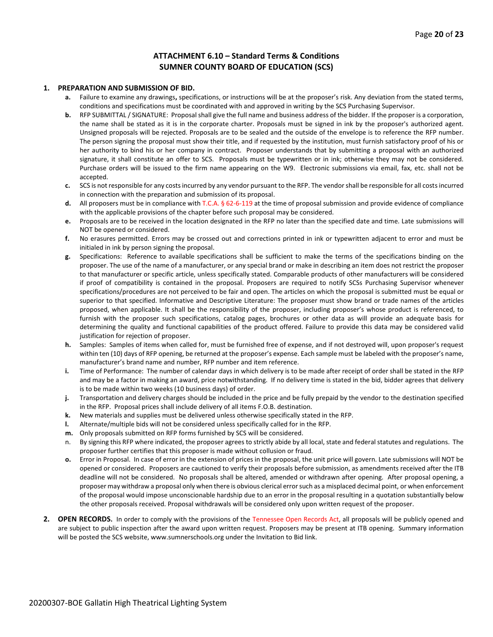#### **ATTACHMENT 6.10 – Standard Terms & Conditions SUMNER COUNTY BOARD OF EDUCATION (SCS)**

#### **1. PREPARATION AND SUBMISSION OF BID.**

- **a.** Failure to examine any drawings**,** specifications, or instructions will be at the proposer's risk. Any deviation from the stated terms, conditions and specifications must be coordinated with and approved in writing by the SCS Purchasing Supervisor.
- **b.** RFP SUBMITTAL / SIGNATURE: Proposal shall give the full name and business address of the bidder. If the proposer is a corporation, the name shall be stated as it is in the corporate charter. Proposals must be signed in ink by the proposer's authorized agent. Unsigned proposals will be rejected. Proposals are to be sealed and the outside of the envelope is to reference the RFP number. The person signing the proposal must show their title, and if requested by the institution, must furnish satisfactory proof of his or her authority to bind his or her company in contract. Proposer understands that by submitting a proposal with an authorized signature, it shall constitute an offer to SCS. Proposals must be typewritten or in ink; otherwise they may not be considered. Purchase orders will be issued to the firm name appearing on the W9. Electronic submissions via email, fax, etc. shall not be accepted.
- **c.** SCS is not responsible for any costs incurred by any vendor pursuant to the RFP. The vendor shall be responsible for all costs incurred in connection with the preparation and submission of its proposal.
- **d.** All proposers must be in compliance with T.C.A. § 62-6-119 at the time of proposal submission and provide evidence of compliance with the applicable provisions of the chapter before such proposal may be considered.
- **e.** Proposals are to be received in the location designated in the RFP no later than the specified date and time. Late submissions will NOT be opened or considered.
- **f.** No erasures permitted. Errors may be crossed out and corrections printed in ink or typewritten adjacent to error and must be initialed in ink by person signing the proposal.
- **g.** Specifications: Reference to available specifications shall be sufficient to make the terms of the specifications binding on the proposer. The use of the name of a manufacturer, or any special brand or make in describing an item does not restrict the proposer to that manufacturer or specific article, unless specifically stated. Comparable products of other manufacturers will be considered if proof of compatibility is contained in the proposal. Proposers are required to notify SCSs Purchasing Supervisor whenever specifications/procedures are not perceived to be fair and open. The articles on which the proposal is submitted must be equal or superior to that specified. Informative and Descriptive Literature: The proposer must show brand or trade names of the articles proposed, when applicable. It shall be the responsibility of the proposer, including proposer's whose product is referenced, to furnish with the proposer such specifications, catalog pages, brochures or other data as will provide an adequate basis for determining the quality and functional capabilities of the product offered. Failure to provide this data may be considered valid justification for rejection of proposer.
- **h.** Samples: Samples of items when called for, must be furnished free of expense, and if not destroyed will, upon proposer's request within ten (10) days of RFP opening, be returned at the proposer's expense. Each sample must be labeled with the proposer's name, manufacturer's brand name and number, RFP number and item reference.
- **i.** Time of Performance: The number of calendar days in which delivery is to be made after receipt of order shall be stated in the RFP and may be a factor in making an award, price notwithstanding. If no delivery time is stated in the bid, bidder agrees that delivery is to be made within two weeks (10 business days) of order.
- **j.** Transportation and delivery charges should be included in the price and be fully prepaid by the vendor to the destination specified in the RFP. Proposal prices shall include delivery of all items F.O.B. destination.
- **k.** New materials and supplies must be delivered unless otherwise specifically stated in the RFP.
- **l.** Alternate/multiple bids will not be considered unless specifically called for in the RFP.
- **m.** Only proposals submitted on RFP forms furnished by SCS will be considered.
- n. By signing this RFP where indicated, the proposer agrees to strictly abide by all local, state and federal statutes and regulations. The proposer further certifies that this proposer is made without collusion or fraud.
- **o.** Error in Proposal. In case of error in the extension of prices in the proposal, the unit price will govern. Late submissions will NOT be opened or considered. Proposers are cautioned to verify their proposals before submission, as amendments received after the ITB deadline will not be considered. No proposals shall be altered, amended or withdrawn after opening. After proposal opening, a proposer may withdraw a proposal only when there is obvious clerical error such as a misplaced decimal point, or when enforcement of the proposal would impose unconscionable hardship due to an error in the proposal resulting in a quotation substantially below the other proposals received. Proposal withdrawals will be considered only upon written request of the proposer.
- **2. OPEN RECORDS.** In order to comply with the provisions of the Tennessee Open Records Act, all proposals will be publicly opened and are subject to public inspection after the award upon written request. Proposers may be present at ITB opening. Summary information will be posted the SCS website, www.sumnerschools.org under the Invitation to Bid link.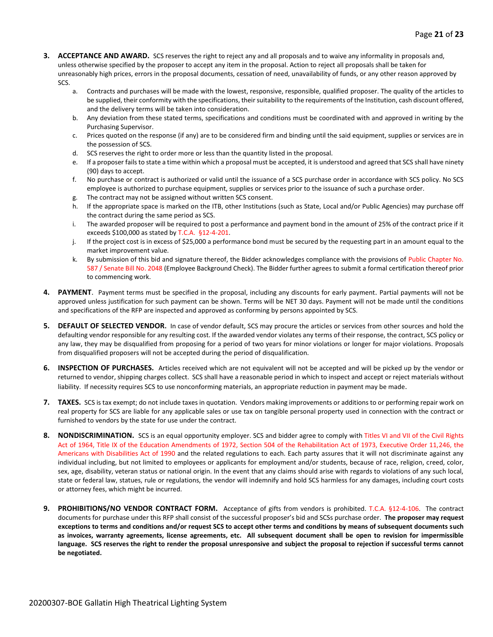- **3. ACCEPTANCE AND AWARD.** SCS reserves the right to reject any and all proposals and to waive any informality in proposals and, unless otherwise specified by the proposer to accept any item in the proposal. Action to reject all proposals shall be taken for unreasonably high prices, errors in the proposal documents, cessation of need, unavailability of funds, or any other reason approved by SCS.
	- a. Contracts and purchases will be made with the lowest, responsive, responsible, qualified proposer. The quality of the articles to be supplied, their conformity with the specifications, their suitability to the requirements of the Institution, cash discount offered, and the delivery terms will be taken into consideration.
	- b. Any deviation from these stated terms, specifications and conditions must be coordinated with and approved in writing by the Purchasing Supervisor.
	- c. Prices quoted on the response (if any) are to be considered firm and binding until the said equipment, supplies or services are in the possession of SCS.
	- d. SCS reserves the right to order more or less than the quantity listed in the proposal.
	- e. If a proposer fails to state a time within which a proposal must be accepted, it is understood and agreed that SCS shall have ninety (90) days to accept.
	- f. No purchase or contract is authorized or valid until the issuance of a SCS purchase order in accordance with SCS policy. No SCS employee is authorized to purchase equipment, supplies or services prior to the issuance of such a purchase order.
	- g. The contract may not be assigned without written SCS consent.
	- h. If the appropriate space is marked on the ITB, other Institutions (such as State, Local and/or Public Agencies) may purchase off the contract during the same period as SCS.
	- i. The awarded proposer will be required to post a performance and payment bond in the amount of 25% of the contract price if it exceeds \$100,000 as stated by T.C.A. §12-4-201.
	- j. If the project cost is in excess of \$25,000 a performance bond must be secured by the requesting part in an amount equal to the market improvement value.
	- k. By submission of this bid and signature thereof, the Bidder acknowledges compliance with the provisions of Public Chapter No. 587 / Senate Bill No. 2048 (Employee Background Check). The Bidder further agrees to submit a formal certification thereof prior to commencing work.
- **4. PAYMENT**. Payment terms must be specified in the proposal, including any discounts for early payment. Partial payments will not be approved unless justification for such payment can be shown. Terms will be NET 30 days. Payment will not be made until the conditions and specifications of the RFP are inspected and approved as conforming by persons appointed by SCS.
- **5. DEFAULT OF SELECTED VENDOR.** In case of vendor default, SCS may procure the articles or services from other sources and hold the defaulting vendor responsible for any resulting cost. If the awarded vendor violates any terms of their response, the contract, SCS policy or any law, they may be disqualified from proposing for a period of two years for minor violations or longer for major violations. Proposals from disqualified proposers will not be accepted during the period of disqualification.
- **6. INSPECTION OF PURCHASES.** Articles received which are not equivalent will not be accepted and will be picked up by the vendor or returned to vendor, shipping charges collect. SCS shall have a reasonable period in which to inspect and accept or reject materials without liability. If necessity requires SCS to use nonconforming materials, an appropriate reduction in payment may be made.
- **7. TAXES.** SCS is tax exempt; do not include taxes in quotation. Vendors making improvements or additions to or performing repair work on real property for SCS are liable for any applicable sales or use tax on tangible personal property used in connection with the contract or furnished to vendors by the state for use under the contract.
- **8. NONDISCRIMINATION.** SCS is an equal opportunity employer. SCS and bidder agree to comply with Titles VI and VII of the Civil Rights Act of 1964, Title IX of the Education Amendments of 1972, Section 504 of the Rehabilitation Act of 1973, Executive Order 11,246, the Americans with Disabilities Act of 1990 and the related regulations to each. Each party assures that it will not discriminate against any individual including, but not limited to employees or applicants for employment and/or students, because of race, religion, creed, color, sex, age, disability, veteran status or national origin. In the event that any claims should arise with regards to violations of any such local, state or federal law, statues, rule or regulations, the vendor will indemnify and hold SCS harmless for any damages, including court costs or attorney fees, which might be incurred.
- **9. PROHIBITIONS/NO VENDOR CONTRACT FORM.** Acceptance of gifts from vendors is prohibited. T.C.A. §12-4-106. The contract documents for purchase under this RFP shall consist of the successful proposer's bid and SCSs purchase order. **The proposer may request exceptions to terms and conditions and/or request SCS to accept other terms and conditions by means of subsequent documents such as invoices, warranty agreements, license agreements, etc. All subsequent document shall be open to revision for impermissible language. SCS reserves the right to render the proposal unresponsive and subject the proposal to rejection if successful terms cannot be negotiated.**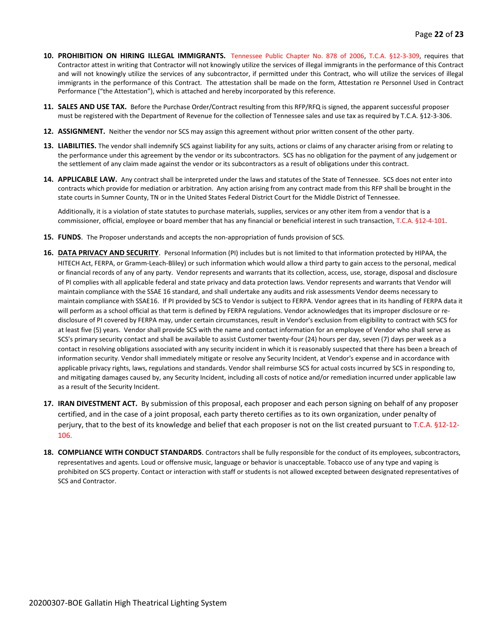- **10. PROHIBITION ON HIRING ILLEGAL IMMIGRANTS.** Tennessee Public Chapter No. 878 of 2006, T.C.A. §12-3-309, requires that Contractor attest in writing that Contractor will not knowingly utilize the services of illegal immigrants in the performance of this Contract and will not knowingly utilize the services of any subcontractor, if permitted under this Contract, who will utilize the services of illegal immigrants in the performance of this Contract. The attestation shall be made on the form, Attestation re Personnel Used in Contract Performance ("the Attestation"), which is attached and hereby incorporated by this reference.
- **11. SALES AND USE TAX.** Before the Purchase Order/Contract resulting from this RFP/RFQ is signed, the apparent successful proposer must be registered with the Department of Revenue for the collection of Tennessee sales and use tax as required by T.C.A. §12-3-306.
- **12. ASSIGNMENT.** Neither the vendor nor SCS may assign this agreement without prior written consent of the other party.
- **13. LIABILITIES.** The vendor shall indemnify SCS against liability for any suits, actions or claims of any character arising from or relating to the performance under this agreement by the vendor or its subcontractors. SCS has no obligation for the payment of any judgement or the settlement of any claim made against the vendor or its subcontractors as a result of obligations under this contract.
- **14. APPLICABLE LAW.** Any contract shall be interpreted under the laws and statutes of the State of Tennessee. SCS does not enter into contracts which provide for mediation or arbitration. Any action arising from any contract made from this RFP shall be brought in the state courts in Sumner County, TN or in the United States Federal District Court for the Middle District of Tennessee.

Additionally, it is a violation of state statutes to purchase materials, supplies, services or any other item from a vendor that is a commissioner, official, employee or board member that has any financial or beneficial interest in such transaction, T.C.A. §12-4-101.

- **15. FUNDS**. The Proposer understands and accepts the non-appropriation of funds provision of SCS.
- **16. DATA PRIVACY AND SECURITY**. Personal Information (PI) includes but is not limited to that information protected by HIPAA, the HITECH Act, FERPA, or Gramm-Leach-Bliley) or such information which would allow a third party to gain access to the personal, medical or financial records of any of any party. Vendor represents and warrants that its collection, access, use, storage, disposal and disclosure of PI complies with all applicable federal and state privacy and data protection laws. Vendor represents and warrants that Vendor will maintain compliance with the SSAE 16 standard, and shall undertake any audits and risk assessments Vendor deems necessary to maintain compliance with SSAE16. If PI provided by SCS to Vendor is subject to FERPA. Vendor agrees that in its handling of FERPA data it will perform as a school official as that term is defined by FERPA regulations. Vendor acknowledges that its improper disclosure or redisclosure of PI covered by FERPA may, under certain circumstances, result in Vendor's exclusion from eligibility to contract with SCS for at least five (5) years. Vendor shall provide SCS with the name and contact information for an employee of Vendor who shall serve as SCS's primary security contact and shall be available to assist Customer twenty-four (24) hours per day, seven (7) days per week as a contact in resolving obligations associated with any security incident in which it is reasonably suspected that there has been a breach of information security. Vendor shall immediately mitigate or resolve any Security Incident, at Vendor's expense and in accordance with applicable privacy rights, laws, regulations and standards. Vendor shall reimburse SCS for actual costs incurred by SCS in responding to, and mitigating damages caused by, any Security Incident, including all costs of notice and/or remediation incurred under applicable law as a result of the Security Incident.
- **17. IRAN DIVESTMENT ACT.** By submission of this proposal, each proposer and each person signing on behalf of any proposer certified, and in the case of a joint proposal, each party thereto certifies as to its own organization, under penalty of perjury, that to the best of its knowledge and belief that each proposer is not on the list created pursuant to T.C.A. §12-12- 106.
- **18. COMPLIANCE WITH CONDUCT STANDARDS**. Contractors shall be fully responsible for the conduct of its employees, subcontractors, representatives and agents. Loud or offensive music, language or behavior is unacceptable. Tobacco use of any type and vaping is prohibited on SCS property. Contact or interaction with staff or students is not allowed excepted between designated representatives of SCS and Contractor.